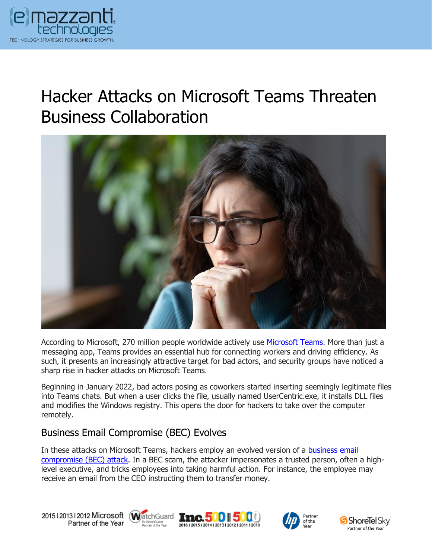

# Hacker Attacks on Microsoft Teams Threaten Business Collaboration



According to Microsoft, 270 million people worldwide actively use [Microsoft Teams.](https://www.emazzanti.net/microsoft-teams/) More than just a messaging app, Teams provides an essential hub for connecting workers and driving efficiency. As such, it presents an increasingly attractive target for bad actors, and security groups have noticed a sharp rise in hacker attacks on Microsoft Teams.

Beginning in January 2022, bad actors posing as coworkers started inserting seemingly legitimate files into Teams chats. But when a user clicks the file, usually named UserCentric.exe, it installs DLL files and modifies the Windows registry. This opens the door for hackers to take over the computer remotely.

### Business Email Compromise (BEC) Evolves

In these attacks on Microsoft Teams, hackers employ an evolved version of a [business email](https://www.emazzanti.net/how-to-spot-a-business-email-compromise-scam/)  [compromise \(BEC\) attack.](https://www.emazzanti.net/how-to-spot-a-business-email-compromise-scam/) In a BEC scam, the attacker impersonates a trusted person, often a highlevel executive, and tricks employees into taking harmful action. For instance, the employee may receive an email from the CEO instructing them to transfer money.

20151201312012 Microsoft WatchGuard **Inc.500 500** Partner of the Year







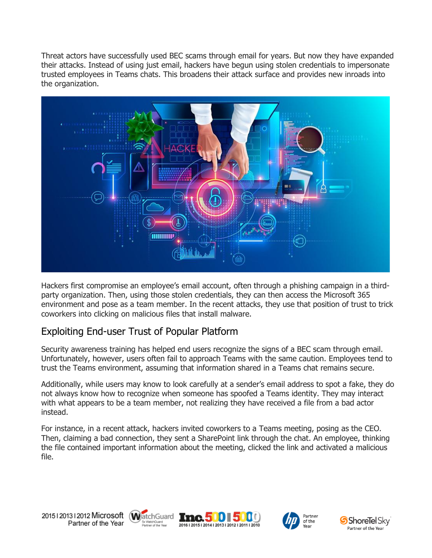Threat actors have successfully used BEC scams through email for years. But now they have expanded their attacks. Instead of using just email, hackers have begun using stolen credentials to impersonate trusted employees in Teams chats. This broadens their attack surface and provides new inroads into the organization.



Hackers first compromise an employee's email account, often through a phishing campaign in a thirdparty organization. Then, using those stolen credentials, they can then access the Microsoft 365 environment and pose as a team member. In the recent attacks, they use that position of trust to trick coworkers into clicking on malicious files that install malware.

### Exploiting End-user Trust of Popular Platform

Security awareness training has helped end users recognize the signs of a BEC scam through email. Unfortunately, however, users often fail to approach Teams with the same caution. Employees tend to trust the Teams environment, assuming that information shared in a Teams chat remains secure.

Additionally, while users may know to look carefully at a sender's email address to spot a fake, they do not always know how to recognize when someone has spoofed a Teams identity. They may interact with what appears to be a team member, not realizing they have received a file from a bad actor instead.

For instance, in a recent attack, hackers invited coworkers to a Teams meeting, posing as the CEO. Then, claiming a bad connection, they sent a SharePoint link through the chat. An employee, thinking the file contained important information about the meeting, clicked the link and activated a malicious file.